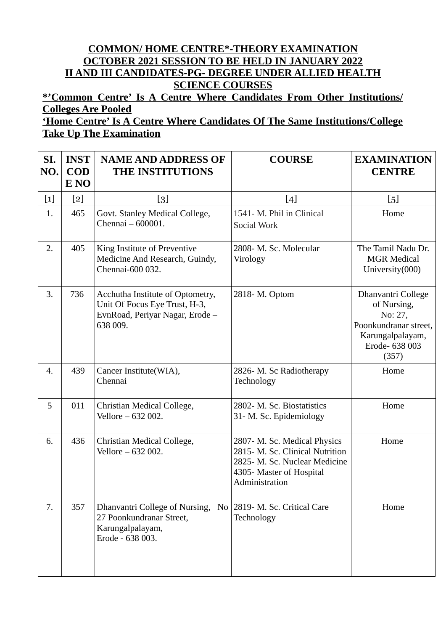## **COMMON/ HOME CENTRE\*-THEORY EXAMINATION OCTOBER 2021 SESSION TO BE HELD IN JANUARY 2022 II AND III CANDIDATES-PG- DEGREE UNDER ALLIED HEALTH SCIENCE COURSES**

**\*'Common Centre' Is A Centre Where Candidates From Other Institutions/ Colleges Are Pooled**

## **'Home Centre' Is A Centre Where Candidates Of The Same Institutions/College Take Up The Examination**

| SI.<br>NO.       | <b>INST</b><br><b>COD</b><br>E NO | <b>NAME AND ADDRESS OF</b><br>THE INSTITUTIONS                                                                   | <b>COURSE</b>                                                                                                                                  | <b>EXAMINATION</b><br><b>CENTRE</b>                                                                                  |
|------------------|-----------------------------------|------------------------------------------------------------------------------------------------------------------|------------------------------------------------------------------------------------------------------------------------------------------------|----------------------------------------------------------------------------------------------------------------------|
| $[1]$            | $[2]$                             | [3]                                                                                                              | $[4]$                                                                                                                                          | $\left[5\right]$                                                                                                     |
| 1.               | 465                               | Govt. Stanley Medical College,<br>Chennai - 600001.                                                              | 1541- M. Phil in Clinical<br>Social Work                                                                                                       | Home                                                                                                                 |
| 2.               | 405                               | King Institute of Preventive<br>Medicine And Research, Guindy,<br>Chennai-600 032.                               | 2808- M. Sc. Molecular<br>Virology                                                                                                             | The Tamil Nadu Dr.<br><b>MGR Medical</b><br>University(000)                                                          |
| 3.               | 736                               | Acchutha Institute of Optometry,<br>Unit Of Focus Eye Trust, H-3,<br>EvnRoad, Periyar Nagar, Erode -<br>638 009. | 2818- M. Optom                                                                                                                                 | Dhanvantri College<br>of Nursing,<br>No: 27,<br>Poonkundranar street,<br>Karungalpalayam,<br>Erode- 638 003<br>(357) |
| $\overline{4}$ . | 439                               | Cancer Institute(WIA),<br>Chennai                                                                                | 2826- M. Sc Radiotherapy<br>Technology                                                                                                         | Home                                                                                                                 |
| 5                | 011                               | Christian Medical College,<br>Vellore - 632 002.                                                                 | 2802- M. Sc. Biostatistics<br>31- M. Sc. Epidemiology                                                                                          | Home                                                                                                                 |
| 6.               | 436                               | Christian Medical College,<br>Vellore - 632 002.                                                                 | 2807- M. Sc. Medical Physics<br>2815- M. Sc. Clinical Nutrition<br>2825- M. Sc. Nuclear Medicine<br>4305- Master of Hospital<br>Administration | Home                                                                                                                 |
| 7.               | 357                               | Dhanvantri College of Nursing,<br>27 Poonkundranar Street,<br>Karungalpalayam,<br>Erode - 638 003.               | No 2819-M. Sc. Critical Care<br>Technology                                                                                                     | Home                                                                                                                 |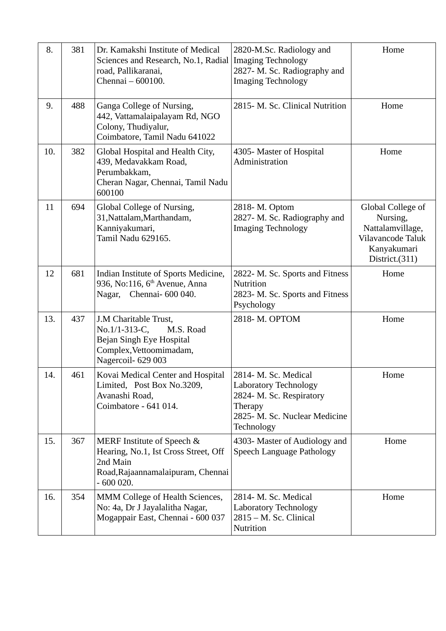| 8.  | 381 | Dr. Kamakshi Institute of Medical<br>Sciences and Research, No.1, Radial<br>road, Pallikaranai,<br>Chennai - 600100.              | 2820-M.Sc. Radiology and<br><b>Imaging Technology</b><br>2827- M. Sc. Radiography and<br><b>Imaging Technology</b>                         | Home                                                                                                    |
|-----|-----|-----------------------------------------------------------------------------------------------------------------------------------|--------------------------------------------------------------------------------------------------------------------------------------------|---------------------------------------------------------------------------------------------------------|
| 9.  | 488 | Ganga College of Nursing,<br>442, Vattamalaipalayam Rd, NGO<br>Colony, Thudiyalur,<br>Coimbatore, Tamil Nadu 641022               | 2815- M. Sc. Clinical Nutrition                                                                                                            | Home                                                                                                    |
| 10. | 382 | Global Hospital and Health City,<br>439, Medavakkam Road,<br>Perumbakkam,<br>Cheran Nagar, Chennai, Tamil Nadu<br>600100          | 4305- Master of Hospital<br>Administration                                                                                                 | Home                                                                                                    |
| 11  | 694 | Global College of Nursing,<br>31, Nattalam, Marthandam,<br>Kanniyakumari,<br>Tamil Nadu 629165.                                   | 2818- M. Optom<br>2827- M. Sc. Radiography and<br><b>Imaging Technology</b>                                                                | Global College of<br>Nursing,<br>Nattalamvillage,<br>Vilavancode Taluk<br>Kanyakumari<br>District.(311) |
| 12  | 681 | Indian Institute of Sports Medicine,<br>936, No:116, 6 <sup>th</sup> Avenue, Anna<br>Nagar,<br>Chennai- 600 040.                  | 2822- M. Sc. Sports and Fitness<br>Nutrition<br>2823- M. Sc. Sports and Fitness<br>Psychology                                              | Home                                                                                                    |
| 13. | 437 | J.M Charitable Trust,<br>No.1/1-313-C,<br>M.S. Road<br>Bejan Singh Eye Hospital<br>Complex, Vettoomimadam,<br>Nagercoil-629 003   | 2818-M. OPTOM                                                                                                                              | Home                                                                                                    |
| 14. | 461 | Kovai Medical Center and Hospital<br>Limited, Post Box No.3209,<br>Avanashi Road,<br>Coimbatore - 641 014.                        | 2814- M. Sc. Medical<br><b>Laboratory Technology</b><br>2824- M. Sc. Respiratory<br>Therapy<br>2825- M. Sc. Nuclear Medicine<br>Technology | Home                                                                                                    |
| 15. | 367 | MERF Institute of Speech &<br>Hearing, No.1, Ist Cross Street, Off<br>2nd Main<br>Road, Rajaannamalaipuram, Chennai<br>$-600020.$ | 4303- Master of Audiology and<br>Speech Language Pathology                                                                                 | Home                                                                                                    |
| 16. | 354 | MMM College of Health Sciences,<br>No: 4a, Dr J Jayalalitha Nagar,<br>Mogappair East, Chennai - 600 037                           | 2814- M. Sc. Medical<br><b>Laboratory Technology</b><br>2815 - M. Sc. Clinical<br>Nutrition                                                | Home                                                                                                    |